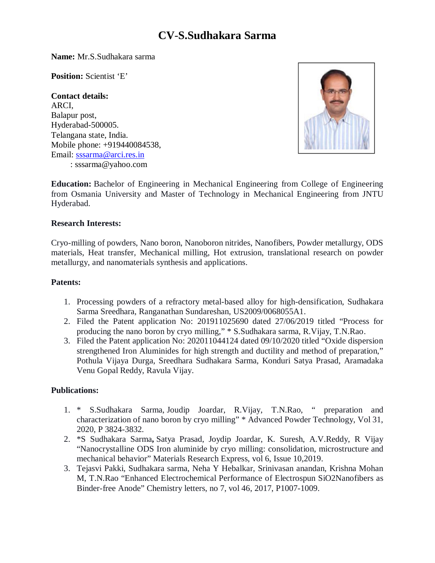# **CV**-**S.Sudhakara Sarma**

**Name:** Mr.S.Sudhakara sarma

**Position:** Scientist 'E'

**Contact details:** ARCI, Balapur post, Hyderabad-500005. Telangana state, India. Mobile phone: +919440084538, Email: sssarma@arci.res.in : sssarma@yahoo.com



**Education:** Bachelor of Engineering in Mechanical Engineering from College of Engineering from Osmania University and Master of Technology in Mechanical Engineering from JNTU Hyderabad.

#### **Research Interests:**

Cryo-milling of powders, Nano boron, Nanoboron nitrides, Nanofibers, Powder metallurgy, ODS materials, Heat transfer, Mechanical milling, Hot extrusion, translational research on powder metallurgy, and nanomaterials synthesis and applications.

#### **Patents:**

- 1. Processing powders of a refractory metal-based alloy for high-densification, Sudhakara Sarma Sreedhara, Ranganathan Sundareshan, US2009/0068055A1.
- 2. Filed the Patent application No: 201911025690 dated 27/06/2019 titled "Process for producing the nano boron by cryo milling," \* S.Sudhakara sarma, R.Vijay, T.N.Rao.
- 3. Filed the Patent application No: 202011044124 dated 09/10/2020 titled "Oxide dispersion strengthened Iron Aluminides for high strength and ductility and method of preparation," Pothula Vijaya Durga, Sreedhara Sudhakara Sarma, Konduri Satya Prasad, Aramadaka Venu Gopal Reddy, Ravula Vijay.

### **Publications:**

- 1. \* S.Sudhakara Sarma, Joudip Joardar, R.Vijay, T.N.Rao, " preparation and characterization of nano boron by cryo milling" \* Advanced Powder Technology, Vol 31, 2020, P 3824-3832.
- 2. \*S Sudhakara Sarma**,** Satya Prasad, Joydip Joardar, K. Suresh, A.V.Reddy, R Vijay "Nanocrystalline ODS Iron aluminide by cryo milling: consolidation, microstructure and mechanical behavior" Materials Research Express, vol 6, Issue 10,2019.
- 3. Tejasvi Pakki, Sudhakara sarma, Neha Y Hebalkar, Srinivasan anandan, Krishna Mohan M, T.N.Rao "Enhanced Electrochemical Performance of Electrospun SiO2Nanofibers as Binder-free Anode" Chemistry letters, no 7, vol 46, 2017, P1007-1009.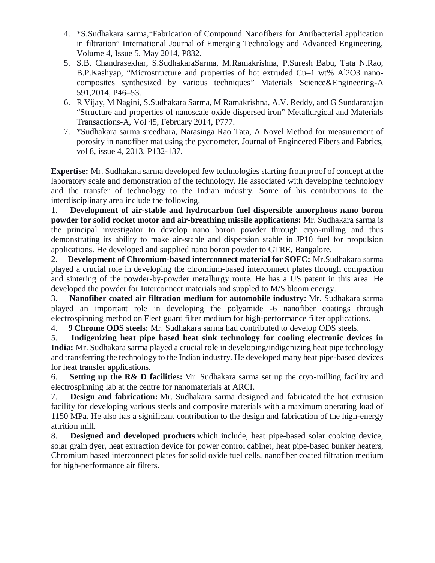- 4. \*S.Sudhakara sarma,"Fabrication of Compound Nanofibers for Antibacterial application in filtration" International Journal of Emerging Technology and Advanced Engineering, Volume 4, Issue 5, May 2014, P832.
- 5. S.B. Chandrasekhar, S.SudhakaraSarma, M.Ramakrishna, P.Suresh Babu, Tata N.Rao, B.P.Kashyap, "Microstructure and properties of hot extruded Cu–1 wt% Al2O3 nanocomposites synthesized by various techniques" Materials Science&Engineering-A 591,2014, P46–53.
- 6. R Vijay, M Nagini, S.Sudhakara Sarma, M Ramakrishna, A.V. Reddy, and G Sundararajan "Structure and properties of nanoscale oxide dispersed iron" Metallurgical and Materials Transactions-A, Vol 45, February 2014, P777.
- 7. \*Sudhakara sarma sreedhara, Narasinga Rao Tata, A Novel Method for measurement of porosity in nanofiber mat using the pycnometer, Journal of Engineered Fibers and Fabrics, vol 8, issue 4, 2013, P132-137.

**Expertise:** Mr. Sudhakara sarma developed few technologies starting from proof of concept at the laboratory scale and demonstration of the technology. He associated with developing technology and the transfer of technology to the Indian industry. Some of his contributions to the interdisciplinary area include the following.

1. **Development of air-stable and hydrocarbon fuel dispersible amorphous nano boron powder for solid rocket motor and air-breathing missile applications:** Mr. Sudhakara sarma is the principal investigator to develop nano boron powder through cryo-milling and thus demonstrating its ability to make air-stable and dispersion stable in JP10 fuel for propulsion applications. He developed and supplied nano boron powder to GTRE, Bangalore.

2. **Development of Chromium-based interconnect material for SOFC:** Mr.Sudhakara sarma played a crucial role in developing the chromium-based interconnect plates through compaction and sintering of the powder-by-powder metallurgy route. He has a US patent in this area. He developed the powder for Interconnect materials and suppled to M/S bloom energy.

3. **Nanofiber coated air filtration medium for automobile industry:** Mr. Sudhakara sarma played an important role in developing the polyamide -6 nanofiber coatings through electrospinning method on Fleet guard filter medium for high-performance filter applications.

4. **9 Chrome ODS steels:** Mr. Sudhakara sarma had contributed to develop ODS steels.

5. **Indigenizing heat pipe based heat sink technology for cooling electronic devices in India:** Mr. Sudhakara sarma played a crucial role in developing/indigenizing heat pipe technology and transferring the technology to the Indian industry. He developed many heat pipe-based devices for heat transfer applications.

6. **Setting up the R& D facilities:** Mr. Sudhakara sarma set up the cryo-milling facility and electrospinning lab at the centre for nanomaterials at ARCI.

7. **Design and fabrication:** Mr. Sudhakara sarma designed and fabricated the hot extrusion facility for developing various steels and composite materials with a maximum operating load of 1150 MPa. He also has a significant contribution to the design and fabrication of the high-energy attrition mill.

8. **Designed and developed products** which include, heat pipe-based solar cooking device, solar grain dyer, heat extraction device for power control cabinet, heat pipe-based bunker heaters, Chromium based interconnect plates for solid oxide fuel cells, nanofiber coated filtration medium for high-performance air filters.